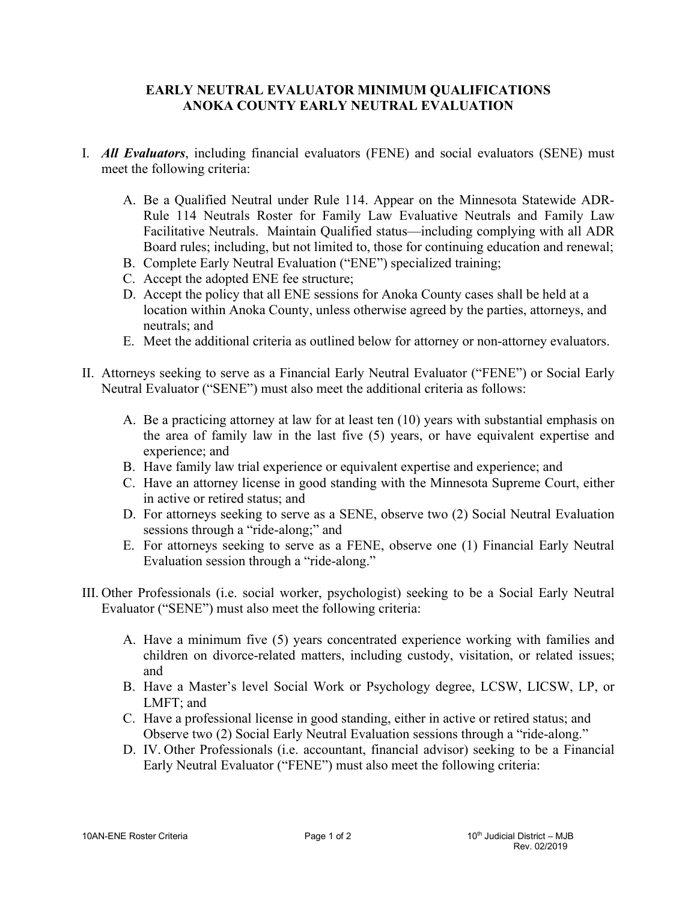## **EARLY NEUTRAL EVALUATOR MINIMUM QUALIFICATIONS ANOKA COUNTY EARLY NEUTRAL EVALUATION**

- I. *All Evaluators*, including financial evaluators (FENE) and social evaluators (SENE) must meet the following criteria:
	- A. Be a Qualified Neutral under Rule 114. Appear on the Minnesota Statewide ADR-Rule 114 Neutrals Roster for Family Law Evaluative Neutrals and Family Law Facilitative Neutrals. Maintain Qualified status—including complying with all ADR Board rules; including, but not limited to, those for continuing education and renewal;
	- B. Complete Early Neutral Evaluation ("ENE") specialized training;
	- C. Accept the adopted ENE fee structure;
	- D. Accept the policy that all ENE sessions for Anoka County cases shall be held at a location within Anoka County, unless otherwise agreed by the parties, attorneys, and neutrals; and
	- E. Meet the additional criteria as outlined below for attorney or non-attorney evaluators.
- II. Attorneys seeking to serve as a Financial Early Neutral Evaluator ("FENE") or Social Early Neutral Evaluator ("SENE") must also meet the additional criteria as follows:
	- A. Be a practicing attorney at law for at least ten (10) years with substantial emphasis on the area of family law in the last five (5) years, or have equivalent expertise and experience; and
	- B. Have family law trial experience or equivalent expertise and experience; and
	- C. Have an attorney license in good standing with the Minnesota Supreme Court, either in active or retired status; and
	- D. For attorneys seeking to serve as a SENE, observe two (2) Social Neutral Evaluation sessions through a "ride-along;" and
	- E. For attorneys seeking to serve as a FENE, observe one (1) Financial Early Neutral Evaluation session through a "ride-along."
- III. Other Professionals (i.e. social worker, psychologist) seeking to be a Social Early Neutral Evaluator ("SENE") must also meet the following criteria:
	- A. Have a minimum five (5) years concentrated experience working with families and children on divorce-related matters, including custody, visitation, or related issues; and
	- B. Have a Master's level Social Work or Psychology degree, LCSW, LICSW, LP, or LMFT; and
	- C. Have a professional license in good standing, either in active or retired status; and Observe two (2) Social Early Neutral Evaluation sessions through a "ride-along."
	- D. IV. Other Professionals (i.e. accountant, financial advisor) seeking to be a Financial Early Neutral Evaluator ("FENE") must also meet the following criteria: